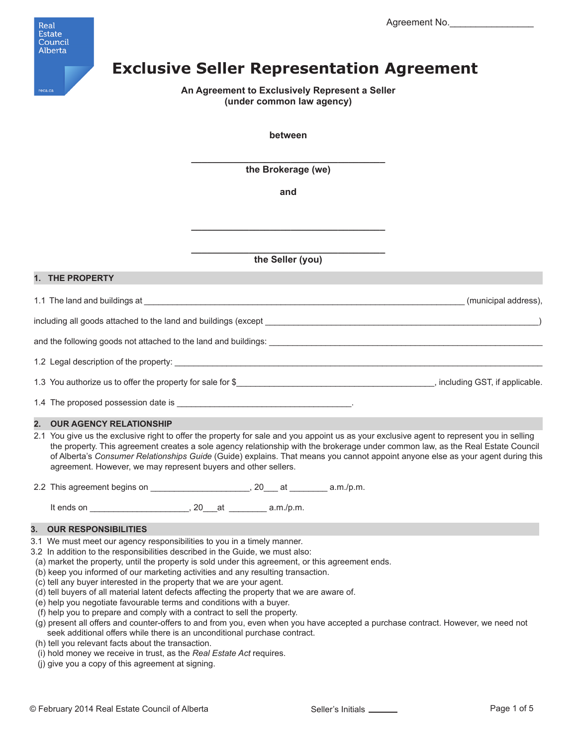

# **Exclusive Seller Representation Agreement**

**An Agreement to Exclusively Represent a Seller (under common law agency)**

**between**

**\_\_\_\_\_\_\_\_\_\_\_\_\_\_\_\_\_\_\_\_\_\_\_\_\_\_\_\_\_\_\_\_\_\_\_\_\_ the Brokerage (we)**

**and**

**\_\_\_\_\_\_\_\_\_\_\_\_\_\_\_\_\_\_\_\_\_\_\_\_\_\_\_\_\_\_\_\_\_\_\_\_\_**

**\_\_\_\_\_\_\_\_\_\_\_\_\_\_\_\_\_\_\_\_\_\_\_\_\_\_\_\_\_\_\_\_\_\_\_\_\_ the Seller (you)**

### **1. THE PROPERTY**

1.1 The land and buildings at \_\_\_\_\_\_\_\_\_\_\_\_\_\_\_\_\_\_\_\_\_\_\_\_\_\_\_\_\_\_\_\_\_\_\_\_\_\_\_\_\_\_\_\_\_\_\_\_\_\_\_\_\_\_\_\_\_\_\_\_\_\_\_\_\_\_\_\_ (municipal address),

including all goods attached to the land and buildings (except \_\_\_\_\_\_\_\_\_\_\_\_\_\_\_\_\_\_\_\_\_\_\_\_\_\_\_\_\_\_\_\_\_\_\_\_\_\_\_\_\_\_\_\_\_\_\_\_\_\_\_\_\_\_\_\_\_\_)

and the following goods not attached to the land and buildings:

1.2 Legal description of the property:

1.3 You authorize us to offer the property for sale for \$\_\_\_\_\_\_\_\_\_\_\_\_\_\_\_\_\_\_\_\_\_\_\_\_\_\_\_\_\_\_\_\_\_\_\_\_\_\_\_\_\_\_, including GST, if applicable.

1.4 The proposed possession date is

# **2. OUR AGENCY RELATIONSHIP**

2.1 You give us the exclusive right to offer the property for sale and you appoint us as your exclusive agent to represent you in selling the property. This agreement creates a sole agency relationship with the brokerage under common law, as the Real Estate Council of Alberta's *Consumer Relationships Guide* (Guide) explains. That means you cannot appoint anyone else as your agent during this agreement. However, we may represent buyers and other sellers.

2.2 This agreement begins on \_\_\_\_\_\_\_\_\_\_\_\_\_\_\_\_\_\_\_\_\_\_, 20\_\_\_ at \_\_\_\_\_\_\_\_ a.m./p.m.

It ends on  $\blacksquare$  a.m./p.m.

### **3. OUR RESPONSIBILITIES**

- 3.1 We must meet our agency responsibilities to you in a timely manner.
- 3.2 In addition to the responsibilities described in the Guide, we must also:
- (a) market the property, until the property is sold under this agreement, or this agreement ends.
- (b) keep you informed of our marketing activities and any resulting transaction.
- (c) tell any buyer interested in the property that we are your agent.
- (d) tell buyers of all material latent defects affecting the property that we are aware of.
- (e) help you negotiate favourable terms and conditions with a buyer.
- (f) help you to prepare and comply with a contract to sell the property.
- (g) present all offers and counter-offers to and from you, even when you have accepted a purchase contract. However, we need not seek additional offers while there is an unconditional purchase contract.
- (h) tell you relevant facts about the transaction.
- (i) hold money we receive in trust, as the *Real Estate Act* requires.
- (j) give you a copy of this agreement at signing.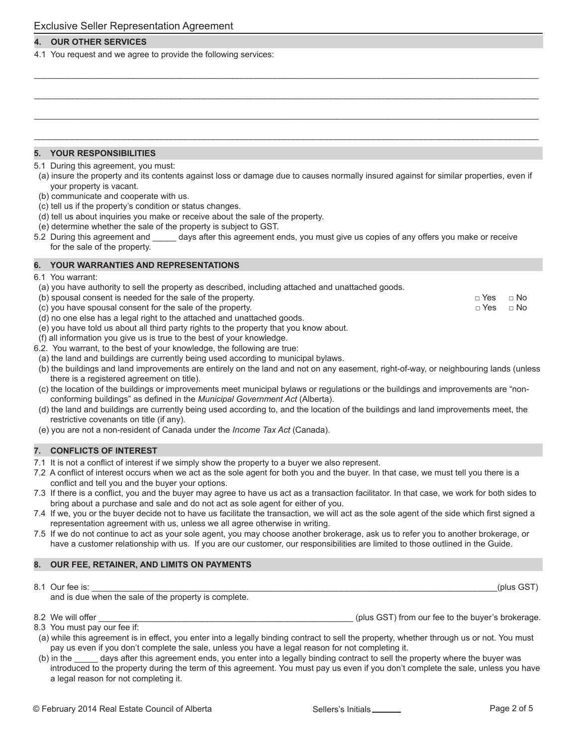# **4. OUR OTHER SERVICES**

4.1 You request and we agree to provide the following services:

# **5. YOUR RESPONSIBILITIES**

- 5.1 During this agreement, you must:
- (a) insure the property and its contents against loss or damage due to causes normally insured against for similar properties, even if your property is vacant.

\_\_\_\_\_\_\_\_\_\_\_\_\_\_\_\_\_\_\_\_\_\_\_\_\_\_\_\_\_\_\_\_\_\_\_\_\_\_\_\_\_\_\_\_\_\_\_\_\_\_\_\_\_\_\_\_\_\_\_\_\_\_\_\_\_\_\_\_\_\_\_\_\_\_\_\_\_\_\_\_\_\_\_\_\_\_\_\_\_\_\_\_\_\_\_\_\_\_\_\_\_\_\_\_\_\_\_

\_\_\_\_\_\_\_\_\_\_\_\_\_\_\_\_\_\_\_\_\_\_\_\_\_\_\_\_\_\_\_\_\_\_\_\_\_\_\_\_\_\_\_\_\_\_\_\_\_\_\_\_\_\_\_\_\_\_\_\_\_\_\_\_\_\_\_\_\_\_\_\_\_\_\_\_\_\_\_\_\_\_\_\_\_\_\_\_\_\_\_\_\_\_\_\_\_\_\_\_\_\_\_\_\_\_\_

\_\_\_\_\_\_\_\_\_\_\_\_\_\_\_\_\_\_\_\_\_\_\_\_\_\_\_\_\_\_\_\_\_\_\_\_\_\_\_\_\_\_\_\_\_\_\_\_\_\_\_\_\_\_\_\_\_\_\_\_\_\_\_\_\_\_\_\_\_\_\_\_\_\_\_\_\_\_\_\_\_\_\_\_\_\_\_\_\_\_\_\_\_\_\_\_\_\_\_\_\_\_\_\_\_\_\_

\_\_\_\_\_\_\_\_\_\_\_\_\_\_\_\_\_\_\_\_\_\_\_\_\_\_\_\_\_\_\_\_\_\_\_\_\_\_\_\_\_\_\_\_\_\_\_\_\_\_\_\_\_\_\_\_\_\_\_\_\_\_\_\_\_\_\_\_\_\_\_\_\_\_\_\_\_\_\_\_\_\_\_\_\_\_\_\_\_\_\_\_\_\_\_\_\_\_\_\_\_\_\_\_\_\_\_

- (b) communicate and cooperate with us.
- (c) tell us if the property's condition or status changes.
- (d) tell us about inquiries you make or receive about the sale of the property.
- (e) determine whether the sale of the property is subject to GST.
- 5.2 During this agreement and \_\_\_\_\_ days after this agreement ends, you must give us copies of any offers you make or receive for the sale of the property.

### **6. YOUR WARRANTIES AND REPRESENTATIONS**

- 6.1 You warrant:
- (a) you have authority to sell the property as described, including attached and unattached goods.

| (b) spousal consent is needed for the sale of the property.             | ⊓ Yes | ⊟ No |
|-------------------------------------------------------------------------|-------|------|
| (c) you have spousal consent for the sale of the property.              | ⊓ Yes | ⊟ No |
| (d) no one else has a legal right to the attached and unattached goods. |       |      |

- (e) you have told us about all third party rights to the property that you know about.
- (f) all information you give us is true to the best of your knowledge.
- 6.2. You warrant, to the best of your knowledge, the following are true:
- (a) the land and buildings are currently being used according to municipal bylaws.
- (b) the buildings and land improvements are entirely on the land and not on any easement, right-of-way, or neighbouring lands (unless there is a registered agreement on title).
- (c) the location of the buildings or improvements meet municipal bylaws or regulations or the buildings and improvements are "non conforming buildings" as defined in the *Municipal Government Act* (Alberta).
- (d) the land and buildings are currently being used according to, and the location of the buildings and land improvements meet, the restrictive covenants on title (if any).
- (e) you are not a non-resident of Canada under the *Income Tax Act* (Canada).

# **7. CONFLICTS OF INTEREST**

- 7.1 It is not a conflict of interest if we simply show the property to a buyer we also represent.
- 7.2 A conflict of interest occurs when we act as the sole agent for both you and the buyer. In that case, we must tell you there is a conflict and tell you and the buyer your options.
- 7.3 If there is a conflict, you and the buyer may agree to have us act as a transaction facilitator. In that case, we work for both sides to bring about a purchase and sale and do not act as sole agent for either of you.
- 7.4 If we, you or the buyer decide not to have us facilitate the transaction, we will act as the sole agent of the side which first signed a representation agreement with us, unless we all agree otherwise in writing.
- 7.5 If we do not continue to act as your sole agent, you may choose another brokerage, ask us to refer you to another brokerage, or have a customer relationship with us. If you are our customer, our responsibilities are limited to those outlined in the Guide.

# **8. OUR FEE, RETAINER, AND LIMITS ON PAYMENTS**

8.1 Our fee is: \_\_\_\_\_\_\_\_\_\_\_\_\_\_\_\_\_\_\_\_\_\_\_\_\_\_\_\_\_\_\_\_\_\_\_\_\_\_\_\_\_\_\_\_\_\_\_\_\_\_\_\_\_\_\_\_\_\_\_\_\_\_\_\_\_\_\_\_\_\_\_\_\_\_\_\_\_\_\_\_\_\_\_\_\_\_(plus GST)

and is due when the sale of the property is complete.

8.2 We will offer \_\_\_\_\_\_\_\_\_\_\_\_\_\_\_\_\_\_\_\_\_\_\_\_\_\_\_\_\_\_\_\_\_\_\_\_\_\_\_\_\_\_\_\_\_\_\_\_\_\_\_\_\_\_ (plus GST) from our fee to the buyer's brokerage.

8.3 You must pay our fee if:

- (a) while this agreement is in effect, you enter into a legally binding contract to sell the property, whether through us or not. You must pay us even if you don't complete the sale, unless you have a legal reason for not completing it.
- (b) in the \_\_\_\_\_ days after this agreement ends, you enter into a legally binding contract to sell the property where the buyer was introduced to the property during the term of this agreement. You must pay us even if you don't complete the sale, unless you have a legal reason for not completing it.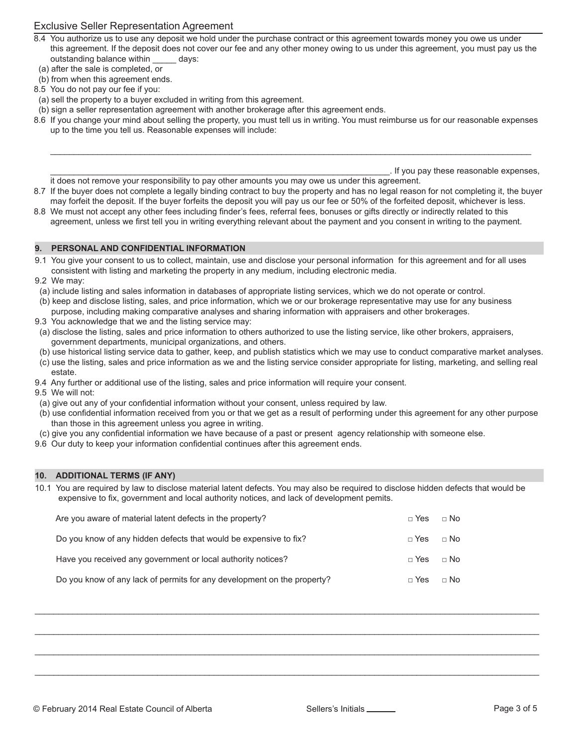# Exclusive Seller Representation Agreement

- 8.4 You authorize us to use any deposit we hold under the purchase contract or this agreement towards money you owe us under this agreement. If the deposit does not cover our fee and any other money owing to us under this agreement, you must pay us the outstanding balance within days:
- (a) after the sale is completed, or
- (b) from when this agreement ends.
- 8.5 You do not pay our fee if you:
- (a) sell the property to a buyer excluded in writing from this agreement.
- (b) sign a seller representation agreement with another brokerage after this agreement ends.
- 8.6 If you change your mind about selling the property, you must tell us in writing. You must reimburse us for our reasonable expenses up to the time you tell us. Reasonable expenses will include:

\_\_\_\_\_\_\_\_\_\_\_\_\_\_\_\_\_\_\_\_\_\_\_\_\_\_\_\_\_\_\_\_\_\_\_\_\_\_\_\_\_\_\_\_\_\_\_\_\_\_\_\_\_\_\_\_\_\_\_\_\_\_\_\_\_\_\_\_\_\_\_\_\_\_\_\_\_\_\_\_\_\_\_\_\_\_\_\_\_\_\_\_\_\_\_\_\_\_\_\_\_\_

\_\_\_\_\_\_\_\_\_\_\_\_\_\_\_\_\_\_\_\_\_\_\_\_\_\_\_\_\_\_\_\_\_\_\_\_\_\_\_\_\_\_\_\_\_\_\_\_\_\_\_\_\_\_\_\_\_\_\_\_\_\_\_\_\_\_\_\_\_\_\_\_. If you pay these reasonable expenses,

- it does not remove your responsibility to pay other amounts you may owe us under this agreement. 8.7 If the buyer does not complete a legally binding contract to buy the property and has no legal reason for not completing it, the buyer
- may forfeit the deposit. If the buyer forfeits the deposit you will pay us our fee or 50% of the forfeited deposit, whichever is less. 8.8 We must not accept any other fees including finder's fees, referral fees, bonuses or gifts directly or indirectly related to this agreement, unless we first tell you in writing everything relevant about the payment and you consent in writing to the payment.

### **9. PERSONAL AND CONFIDENTIAL INFORMATION**

- 9.1 You give your consent to us to collect, maintain, use and disclose your personal information for this agreement and for all uses consistent with listing and marketing the property in any medium, including electronic media.
- 9.2 We may:
- (a) include listing and sales information in databases of appropriate listing services, which we do not operate or control.
- (b) keep and disclose listing, sales, and price information, which we or our brokerage representative may use for any business
- purpose, including making comparative analyses and sharing information with appraisers and other brokerages.
- 9.3 You acknowledge that we and the listing service may:
- (a) disclose the listing, sales and price information to others authorized to use the listing service, like other brokers, appraisers, government departments, municipal organizations, and others.
- (b) use historical listing service data to gather, keep, and publish statistics which we may use to conduct comparative market analyses.
- (c) use the listing, sales and price information as we and the listing service consider appropriate for listing, marketing, and selling real estate.
- 9.4 Any further or additional use of the listing, sales and price information will require your consent.
- 9.5 We will not:
- (a) give out any of your confidential information without your consent, unless required by law.
- (b) use confidential information received from you or that we get as a result of performing under this agreement for any other purpose than those in this agreement unless you agree in writing.
- (c) give you any confidential information we have because of a past or present agency relationship with someone else.
- 9.6 Our duty to keep your information confidential continues after this agreement ends.

# **10. ADDITIONAL TERMS (IF ANY)**

10.1 You are required by law to disclose material latent defects. You may also be required to disclose hidden defects that would be expensive to fix, government and local authority notices, and lack of development pemits.

 $\_$  , and the set of the set of the set of the set of the set of the set of the set of the set of the set of the set of the set of the set of the set of the set of the set of the set of the set of the set of the set of th

 $\_$  , and the state of the state of the state of the state of the state of the state of the state of the state of the state of the state of the state of the state of the state of the state of the state of the state of the

 $\_$  , and the state of the state of the state of the state of the state of the state of the state of the state of the state of the state of the state of the state of the state of the state of the state of the state of the

 $\_$  , and the set of the set of the set of the set of the set of the set of the set of the set of the set of the set of the set of the set of the set of the set of the set of the set of the set of the set of the set of th

| Are you aware of material latent defects in the property?               | $\sqcap$ Yes | $\sqcap$ No |
|-------------------------------------------------------------------------|--------------|-------------|
| Do you know of any hidden defects that would be expensive to fix?       | $\sqcap$ Yes | $\sqcap$ No |
| Have you received any government or local authority notices?            | $\sqcap$ Yes | $\sqcap$ No |
| Do you know of any lack of permits for any development on the property? | $\sqcap$ Yes | $\Box$ No   |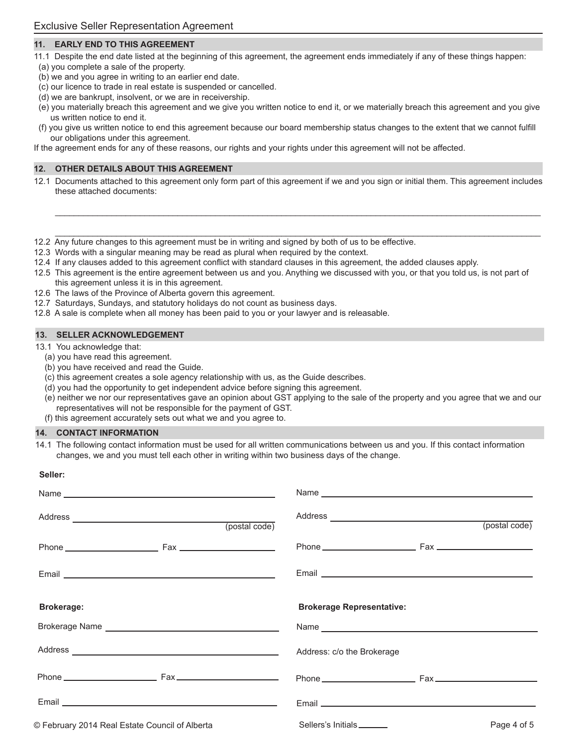# **11. EARLY END TO THIS AGREEMENT**

- 11.1 Despite the end date listed at the beginning of this agreement, the agreement ends immediately if any of these things happen: (a) you complete a sale of the property.
- (b) we and you agree in writing to an earlier end date.
- (c) our licence to trade in real estate is suspended or cancelled.
- (d) we are bankrupt, insolvent, or we are in receivership.
- (e) you materially breach this agreement and we give you written notice to end it, or we materially breach this agreement and you give us written notice to end it.
- (f) you give us written notice to end this agreement because our board membership status changes to the extent that we cannot fulfill our obligations under this agreement.

If the agreement ends for any of these reasons, our rights and your rights under this agreement will not be affected.

### **12. OTHER DETAILS ABOUT THIS AGREEMENT**

12.1 Documents attached to this agreement only form part of this agreement if we and you sign or initial them. This agreement includes these attached documents:

 $\mathcal{L}_\mathcal{L} = \mathcal{L}_\mathcal{L} = \mathcal{L}_\mathcal{L} = \mathcal{L}_\mathcal{L} = \mathcal{L}_\mathcal{L} = \mathcal{L}_\mathcal{L} = \mathcal{L}_\mathcal{L} = \mathcal{L}_\mathcal{L} = \mathcal{L}_\mathcal{L} = \mathcal{L}_\mathcal{L} = \mathcal{L}_\mathcal{L} = \mathcal{L}_\mathcal{L} = \mathcal{L}_\mathcal{L} = \mathcal{L}_\mathcal{L} = \mathcal{L}_\mathcal{L} = \mathcal{L}_\mathcal{L} = \mathcal{L}_\mathcal{L}$ 

 $\mathcal{L}_\mathcal{L} = \mathcal{L}_\mathcal{L} = \mathcal{L}_\mathcal{L} = \mathcal{L}_\mathcal{L} = \mathcal{L}_\mathcal{L} = \mathcal{L}_\mathcal{L} = \mathcal{L}_\mathcal{L} = \mathcal{L}_\mathcal{L} = \mathcal{L}_\mathcal{L} = \mathcal{L}_\mathcal{L} = \mathcal{L}_\mathcal{L} = \mathcal{L}_\mathcal{L} = \mathcal{L}_\mathcal{L} = \mathcal{L}_\mathcal{L} = \mathcal{L}_\mathcal{L} = \mathcal{L}_\mathcal{L} = \mathcal{L}_\mathcal{L}$ 

- 12.2 Any future changes to this agreement must be in writing and signed by both of us to be effective.
- 12.3 Words with a singular meaning may be read as plural when required by the context.
- 12.4 If any clauses added to this agreement conflict with standard clauses in this agreement, the added clauses apply.
- 12.5 This agreement is the entire agreement between us and you. Anything we discussed with you, or that you told us, is not part of
- this agreement unless it is in this agreement.
- 12.6 The laws of the Province of Alberta govern this agreement.
- 12.7 Saturdays, Sundays, and statutory holidays do not count as business days.
- 12.8 A sale is complete when all money has been paid to you or your lawyer and is releasable.

### **13. SELLER ACKNOWLEDGEMENT**

13.1 You acknowledge that:

- (a) you have read this agreement.
- (b) you have received and read the Guide.
- (c) this agreement creates a sole agency relationship with us, as the Guide describes.
- (d) you had the opportunity to get independent advice before signing this agreement.
- (e) neither we nor our representatives gave an opinion about GST applying to the sale of the property and you agree that we and our representatives will not be responsible for the payment of GST.
- (f) this agreement accurately sets out what we and you agree to.

#### **14. CONTACT INFORMATION**

**Seller:**

14.1 The following contact information must be used for all written communications between us and you. If this contact information changes, we and you must tell each other in writing within two business days of the change.

| (postal code)                                  | (postal code)                            |
|------------------------------------------------|------------------------------------------|
|                                                |                                          |
|                                                |                                          |
| <b>Brokerage:</b>                              | <b>Brokerage Representative:</b>         |
|                                                |                                          |
|                                                | Address: c/o the Brokerage               |
|                                                | Phone Fax Fax                            |
|                                                |                                          |
| © February 2014 Real Estate Council of Alberta | Sellers's Initials_______<br>Page 4 of 5 |